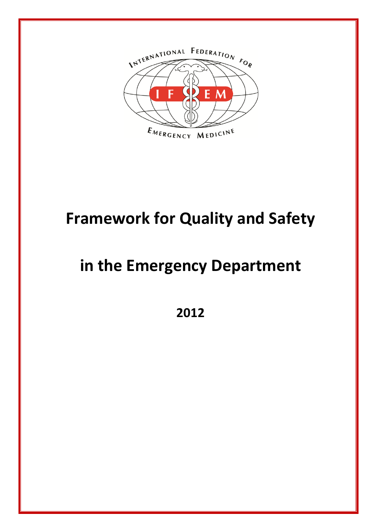

# **Framework for Quality and Safety**

# **in the Emergency Department**

**2012**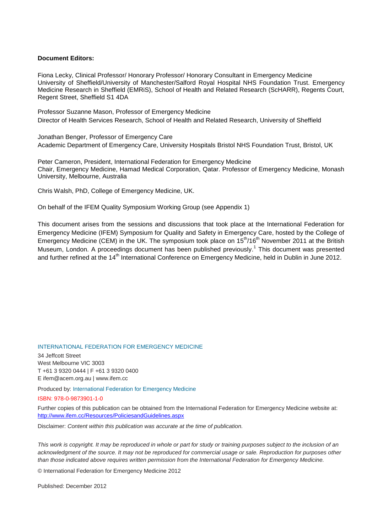#### **Document Editors:**

Fiona Lecky, Clinical Professor/ Honorary Professor/ Honorary Consultant in Emergency Medicine University of Sheffield/University of Manchester/Salford Royal Hospital NHS Foundation Trust. Emergency Medicine Research in Sheffield (EMRiS), School of Health and Related Research (ScHARR), Regents Court, Regent Street, Sheffield S1 4DA

Professor Suzanne Mason, Professor of Emergency Medicine Director of Health Services Research, School of Health and Related Research, University of Sheffield

Jonathan Benger, Professor of Emergency Care Academic Department of Emergency Care, University Hospitals Bristol NHS Foundation Trust, Bristol, UK

Peter Cameron, President, International Federation for Emergency Medicine Chair, Emergency Medicine, Hamad Medical Corporation, Qatar. Professor of Emergency Medicine, Monash University, Melbourne, Australia

Chris Walsh, PhD, College of Emergency Medicine, UK.

On behalf of the IFEM Quality Symposium Working Group (see Appendix 1)

This document arises from the sessions and discussions that took place at the International Federation for Emergency Medicine (IFEM) Symposium for Quality and Safety in Emergency Care, hosted by the College of Emergency Medicine (CEM) in the UK. The symposium took place on 15<sup>th</sup>/16<sup>th</sup> November 2011 at the British Museum, London. A proceedings document has been published previously.<sup>1</sup> This document was presented and further refined at the 14<sup>th</sup> International Conference on Emergency Medicine, held in Dublin in June 2012.

#### INTERNATIONAL FEDERATION FOR EMERGENCY MEDICINE

34 Jeffcott Street West Melbourne VIC 3003 T +61 3 9320 0444 | F +61 3 9320 0400 E ifem@acem.org.au | www.ifem.cc

Produced by: International Federation for Emergency Medicine

#### ISBN: 978-0-9873901-1-0

Further copies of this publication can be obtained from the International Federation for Emergency Medicine website at: <http://www.ifem.cc/Resources/PoliciesandGuidelines.aspx>

Disclaimer: *Content within this publication was accurate at the time of publication.* 

*This work is copyright. It may be reproduced in whole or part for study or training purposes subject to the inclusion of an*  acknowledgment of the source. It may not be reproduced for commercial usage or sale. Reproduction for purposes other *than those indicated above requires written permission from the International Federation for Emergency Medicine.* 

© International Federation for Emergency Medicine 2012

Published: December 2012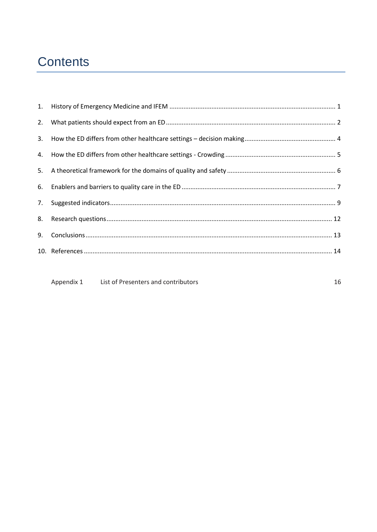# Contents

Appendix 1 List of Presenters and contributors

16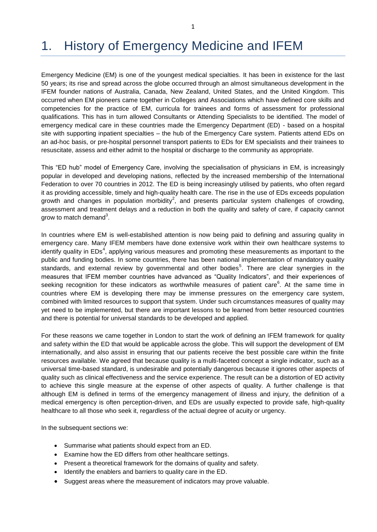### <span id="page-3-0"></span>1. History of Emergency Medicine and IFEM

Emergency Medicine (EM) is one of the youngest medical specialties. It has been in existence for the last 50 years; its rise and spread across the globe occurred through an almost simultaneous development in the IFEM founder nations of Australia, Canada, New Zealand, United States, and the United Kingdom. This occurred when EM pioneers came together in Colleges and Associations which have defined core skills and competencies for the practice of EM, curricula for trainees and forms of assessment for professional qualifications. This has in turn allowed Consultants or Attending Specialists to be identified. The model of emergency medical care in these countries made the Emergency Department (ED) - based on a hospital site with supporting inpatient specialties – the hub of the Emergency Care system. Patients attend EDs on an ad-hoc basis, or pre-hospital personnel transport patients to EDs for EM specialists and their trainees to resuscitate, assess and either admit to the hospital or discharge to the community as appropriate.

This "ED hub" model of Emergency Care, involving the specialisation of physicians in EM, is increasingly popular in developed and developing nations, reflected by the increased membership of the International Federation to over 70 countries in 2012. The ED is being increasingly utilised by patients, who often regard it as providing accessible, timely and high-quality health care. The rise in the use of EDs exceeds population growth and changes in population morbidity<sup>2</sup>, and presents particular system challenges of crowding, assessment and treatment delays and a reduction in both the quality and safety of care, if capacity cannot grow to match demand<sup>3</sup>.

In countries where EM is well-established attention is now being paid to defining and assuring quality in emergency care. Many IFEM members have done extensive work within their own healthcare systems to identify quality in EDs<sup>4</sup>, applying various measures and promoting these measurements as important to the public and funding bodies. In some countries, there has been national implementation of mandatory quality standards, and external review by governmental and other bodies<sup>5</sup>. There are clear synergies in the measures that IFEM member countries have advanced as "Quality Indicators", and their experiences of seeking recognition for these indicators as worthwhile measures of patient care $6$ . At the same time in countries where EM is developing there may be immense pressures on the emergency care system, combined with limited resources to support that system. Under such circumstances measures of quality may yet need to be implemented, but there are important lessons to be learned from better resourced countries and there is potential for universal standards to be developed and applied.

For these reasons we came together in London to start the work of defining an IFEM framework for quality and safety within the ED that would be applicable across the globe. This will support the development of EM internationally, and also assist in ensuring that our patients receive the best possible care within the finite resources available. We agreed that because quality is a multi-faceted concept a single indicator, such as a universal time-based standard, is undesirable and potentially dangerous because it ignores other aspects of quality such as clinical effectiveness and the service experience. The result can be a distortion of ED activity to achieve this single measure at the expense of other aspects of quality. A further challenge is that although EM is defined in terms of the emergency management of illness and injury, the definition of a medical emergency is often perception-driven, and EDs are usually expected to provide safe, high-quality healthcare to all those who seek it, regardless of the actual degree of acuity or urgency.

In the subsequent sections we:

- Summarise what patients should expect from an ED.
- Examine how the ED differs from other healthcare settings.
- Present a theoretical framework for the domains of quality and safety.
- Identify the enablers and barriers to quality care in the ED.
- Suggest areas where the measurement of indicators may prove valuable.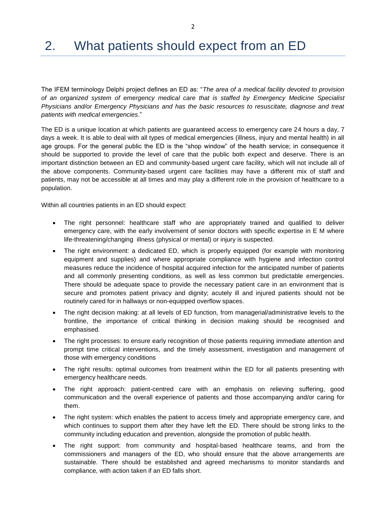# <span id="page-4-0"></span>2. What patients should expect from an ED

The IFEM terminology Delphi project defines an ED as: "*The area of a medical facility devoted to provision of an organized system of emergency medical care that is staffed by Emergency Medicine Specialist Physicians and/or Emergency Physicians and has the basic resources to resuscitate, diagnose and treat patients with medical emergencies*."

The ED is a unique location at which patients are guaranteed access to emergency care 24 hours a day, 7 days a week. It is able to deal with all types of medical emergencies (illness, injury and mental health) in all age groups. For the general public the ED is the "shop window" of the health service; in consequence it should be supported to provide the level of care that the public both expect and deserve. There is an important distinction between an ED and community-based urgent care facility, which will not include all of the above components. Community-based urgent care facilities may have a different mix of staff and patients, may not be accessible at all times and may play a different role in the provision of healthcare to a population.

Within all countries patients in an ED should expect:

- The right personnel: healthcare staff who are appropriately trained and qualified to deliver emergency care, with the early involvement of senior doctors with specific expertise in E M where life-threatening/changing illness (physical or mental) or injury is suspected.
- The right environment: a dedicated ED, which is properly equipped (for example with monitoring equipment and supplies) and where appropriate compliance with hygiene and infection control measures reduce the incidence of hospital acquired infection for the anticipated number of patients and all commonly presenting conditions, as well as less common but predictable emergencies. There should be adequate space to provide the necessary patient care in an environment that is secure and promotes patient privacy and dignity; acutely ill and injured patients should not be routinely cared for in hallways or non-equipped overflow spaces.
- The right decision making: at all levels of ED function, from managerial/administrative levels to the frontline, the importance of critical thinking in decision making should be recognised and emphasised.
- The right processes: to ensure early recognition of those patients requiring immediate attention and prompt time critical interventions, and the timely assessment, investigation and management of those with emergency conditions
- The right results: optimal outcomes from treatment within the ED for all patients presenting with emergency healthcare needs.
- The right approach: patient-centred care with an emphasis on relieving suffering, good communication and the overall experience of patients and those accompanying and/or caring for them.
- The right system: which enables the patient to access timely and appropriate emergency care, and which continues to support them after they have left the ED. There should be strong links to the community including education and prevention, alongside the promotion of public health.
- The right support: from community and hospital-based healthcare teams, and from the commissioners and managers of the ED, who should ensure that the above arrangements are sustainable. There should be established and agreed mechanisms to monitor standards and compliance, with action taken if an ED falls short.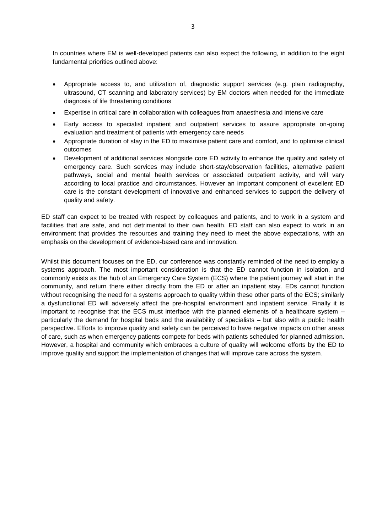In countries where EM is well-developed patients can also expect the following, in addition to the eight fundamental priorities outlined above:

- Appropriate access to, and utilization of, diagnostic support services (e.g. plain radiography, ultrasound, CT scanning and laboratory services) by EM doctors when needed for the immediate diagnosis of life threatening conditions
- Expertise in critical care in collaboration with colleagues from anaesthesia and intensive care
- Early access to specialist inpatient and outpatient services to assure appropriate on-going evaluation and treatment of patients with emergency care needs
- Appropriate duration of stay in the ED to maximise patient care and comfort, and to optimise clinical outcomes
- Development of additional services alongside core ED activity to enhance the quality and safety of emergency care. Such services may include short-stay/observation facilities, alternative patient pathways, social and mental health services or associated outpatient activity, and will vary according to local practice and circumstances. However an important component of excellent ED care is the constant development of innovative and enhanced services to support the delivery of quality and safety.

ED staff can expect to be treated with respect by colleagues and patients, and to work in a system and facilities that are safe, and not detrimental to their own health. ED staff can also expect to work in an environment that provides the resources and training they need to meet the above expectations, with an emphasis on the development of evidence-based care and innovation.

Whilst this document focuses on the ED, our conference was constantly reminded of the need to employ a systems approach. The most important consideration is that the ED cannot function in isolation, and commonly exists as the hub of an Emergency Care System (ECS) where the patient journey will start in the community, and return there either directly from the ED or after an inpatient stay. EDs cannot function without recognising the need for a systems approach to quality within these other parts of the ECS; similarly a dysfunctional ED will adversely affect the pre-hospital environment and inpatient service. Finally it is important to recognise that the ECS must interface with the planned elements of a healthcare system – particularly the demand for hospital beds and the availability of specialists – but also with a public health perspective. Efforts to improve quality and safety can be perceived to have negative impacts on other areas of care, such as when emergency patients compete for beds with patients scheduled for planned admission. However, a hospital and community which embraces a culture of quality will welcome efforts by the ED to improve quality and support the implementation of changes that will improve care across the system.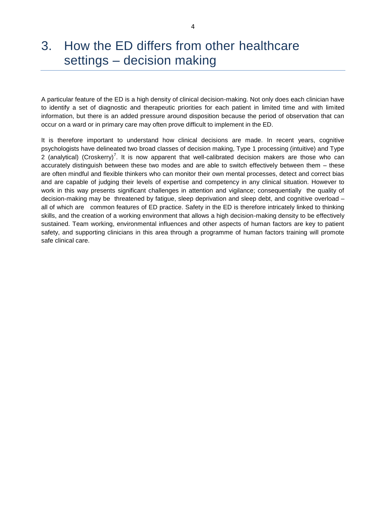### <span id="page-6-0"></span>3. How the ED differs from other healthcare settings – decision making

A particular feature of the ED is a high density of clinical decision-making. Not only does each clinician have to identify a set of diagnostic and therapeutic priorities for each patient in limited time and with limited information, but there is an added pressure around disposition because the period of observation that can occur on a ward or in primary care may often prove difficult to implement in the ED.

It is therefore important to understand how clinical decisions are made. In recent years, cognitive psychologists have delineated two broad classes of decision making, Type 1 processing (intuitive) and Type 2 (analytical) (Croskerry)<sup>7</sup>. It is now apparent that well-calibrated decision makers are those who can accurately distinguish between these two modes and are able to switch effectively between them – these are often mindful and flexible thinkers who can monitor their own mental processes, detect and correct bias and are capable of judging their levels of expertise and competency in any clinical situation. However to work in this way presents significant challenges in attention and vigilance; consequentially the quality of decision-making may be threatened by fatigue, sleep deprivation and sleep debt, and cognitive overload – all of which are common features of ED practice. Safety in the ED is therefore intricately linked to thinking skills, and the creation of a working environment that allows a high decision-making density to be effectively sustained. Team working, environmental influences and other aspects of human factors are key to patient safety, and supporting clinicians in this area through a programme of human factors training will promote safe clinical care.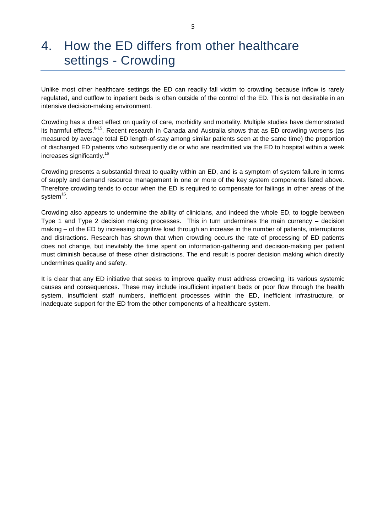### <span id="page-7-0"></span>4. How the ED differs from other healthcare settings - Crowding

Unlike most other healthcare settings the ED can readily fall victim to crowding because inflow is rarely regulated, and outflow to inpatient beds is often outside of the control of the ED. This is not desirable in an intensive decision-making environment.

Crowding has a direct effect on quality of care, morbidity and mortality. Multiple studies have demonstrated its harmful effects.<sup>8-15</sup>. Recent research in Canada and Australia shows that as ED crowding worsens (as measured by average total ED length-of-stay among similar patients seen at the same time) the proportion of discharged ED patients who subsequently die or who are readmitted via the ED to hospital within a week increases significantly.<sup>16</sup>

Crowding presents a substantial threat to quality within an ED, and is a symptom of system failure in terms of supply and demand resource management in one or more of the key system components listed above. Therefore crowding tends to occur when the ED is required to compensate for failings in other areas of the system<sup>16</sup>.

Crowding also appears to undermine the ability of clinicians, and indeed the whole ED, to toggle between Type 1 and Type 2 decision making processes. This in turn undermines the main currency – decision making – of the ED by increasing cognitive load through an increase in the number of patients, interruptions and distractions. Research has shown that when crowding occurs the rate of processing of ED patients does not change, but inevitably the time spent on information-gathering and decision-making per patient must diminish because of these other distractions. The end result is poorer decision making which directly undermines quality and safety.

It is clear that any ED initiative that seeks to improve quality must address crowding, its various systemic causes and consequences. These may include insufficient inpatient beds or poor flow through the health system, insufficient staff numbers, inefficient processes within the ED, inefficient infrastructure, or inadequate support for the ED from the other components of a healthcare system.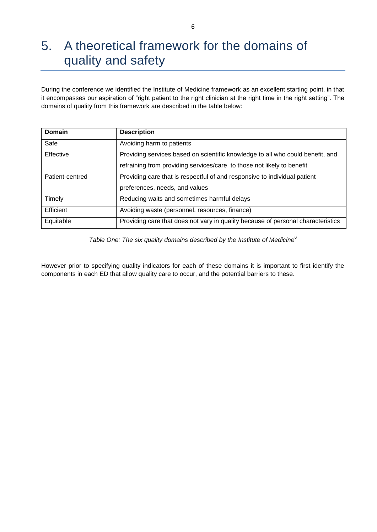## <span id="page-8-0"></span>5. A theoretical framework for the domains of quality and safety

During the conference we identified the Institute of Medicine framework as an excellent starting point, in that it encompasses our aspiration of "right patient to the right clinician at the right time in the right setting". The domains of quality from this framework are described in the table below:

| Domain           | <b>Description</b>                                                               |  |  |  |
|------------------|----------------------------------------------------------------------------------|--|--|--|
| Safe             | Avoiding harm to patients                                                        |  |  |  |
| Effective        | Providing services based on scientific knowledge to all who could benefit, and   |  |  |  |
|                  | refraining from providing services/care to those not likely to benefit           |  |  |  |
| Patient-centred  | Providing care that is respectful of and responsive to individual patient        |  |  |  |
|                  | preferences, needs, and values                                                   |  |  |  |
| Timely           | Reducing waits and sometimes harmful delays                                      |  |  |  |
| <b>Efficient</b> | Avoiding waste (personnel, resources, finance)                                   |  |  |  |
| Equitable        | Providing care that does not vary in quality because of personal characteristics |  |  |  |

Table One: The six quality domains described by the Institute of Medicine<sup>6</sup>

However prior to specifying quality indicators for each of these domains it is important to first identify the components in each ED that allow quality care to occur, and the potential barriers to these.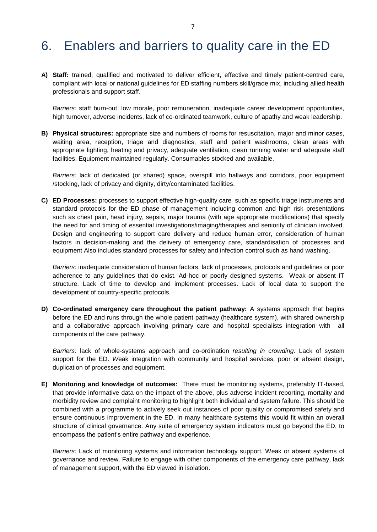#### <span id="page-9-0"></span>6. Enablers and barriers to quality care in the ED

**A) Staff:** trained, qualified and motivated to deliver efficient, effective and timely patient-centred care, compliant with local or national guidelines for ED staffing numbers skill/grade mix, including allied health professionals and support staff.

*Barriers:* staff burn-out, low morale, poor remuneration, inadequate career development opportunities, high turnover, adverse incidents, lack of co-ordinated teamwork, culture of apathy and weak leadership.

**B) Physical structures:** appropriate size and numbers of rooms for resuscitation, major and minor cases, waiting area, reception, triage and diagnostics, staff and patient washrooms, clean areas with appropriate lighting, heating and privacy, adequate ventilation, clean running water and adequate staff facilities. Equipment maintained regularly. Consumables stocked and available.

*Barriers:* lack of dedicated (or shared) space, overspill into hallways and corridors, poor equipment /stocking, lack of privacy and dignity, dirty/contaminated facilities.

**C) ED Processes:** processes to support effective high-quality care such as specific triage instruments and standard protocols for the ED phase of management including common and high risk presentations such as chest pain, head injury, sepsis, major trauma (with age appropriate modifications) that specify the need for and timing of essential investigations/imaging/therapies and seniority of clinician involved. Design and engineering to support care delivery and reduce human error, consideration of human factors in decision-making and the delivery of emergency care, standardisation of processes and equipment Also includes standard processes for safety and infection control such as hand washing.

*Barriers:* inadequate consideration of human factors, lack of processes, protocols and guidelines or poor adherence to any guidelines that do exist. Ad-hoc or poorly designed systems. Weak or absent IT structure. Lack of time to develop and implement processes. Lack of local data to support the development of country-specific protocols.

**D) Co-ordinated emergency care throughout the patient pathway:** A systems approach that begins before the ED and runs through the whole patient pathway (healthcare system), with shared ownership and a collaborative approach involving primary care and hospital specialists integration with all components of the care pathway.

*Barriers:* lack of whole-systems approach and co-ordination *resulting in crowding*. Lack of system support for the ED. *W*eak integration with community and hospital services, poor or absent design, duplication of processes and equipment.

**E) Monitoring and knowledge of outcomes:** There must be monitoring systems, preferably IT-based, that provide informative data on the impact of the above, plus adverse incident reporting, mortality and morbidity review and complaint monitoring to highlight both individual and system failure. This should be combined with a programme to actively seek out instances of poor quality or compromised safety and ensure continuous improvement in the ED. In many healthcare systems this would fit within an overall structure of clinical governance. Any suite of emergency system indicators must go beyond the ED, to encompass the patient's entire pathway and experience.

*Barriers:* Lack of monitoring systems and information technology support. Weak or absent systems of governance and review. Failure to engage with other components of the emergency care pathway, lack of management support, with the ED viewed in isolation.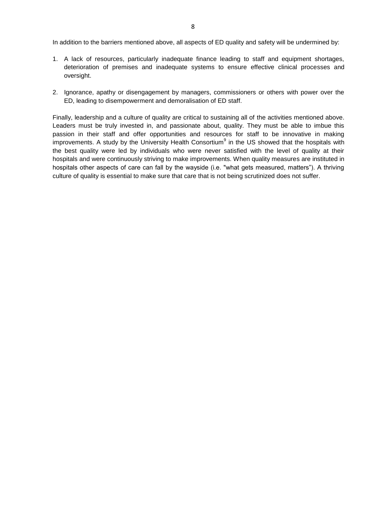In addition to the barriers mentioned above, all aspects of ED quality and safety will be undermined by:

- 1. A lack of resources, particularly inadequate finance leading to staff and equipment shortages, deterioration of premises and inadequate systems to ensure effective clinical processes and oversight.
- 2. Ignorance, apathy or disengagement by managers, commissioners or others with power over the ED, leading to disempowerment and demoralisation of ED staff.

Finally, leadership and a culture of quality are critical to sustaining all of the activities mentioned above. Leaders must be truly invested in, and passionate about, quality. They must be able to imbue this passion in their staff and offer opportunities and resources for staff to be innovative in making improvements. A study by the University Health Consortium<sup>9</sup> in the US showed that the hospitals with the best quality were led by individuals who were never satisfied with the level of quality at their hospitals and were continuously striving to make improvements. When quality measures are instituted in hospitals other aspects of care can fall by the wayside (i.e. "what gets measured, matters"). A thriving culture of quality is essential to make sure that care that is not being scrutinized does not suffer.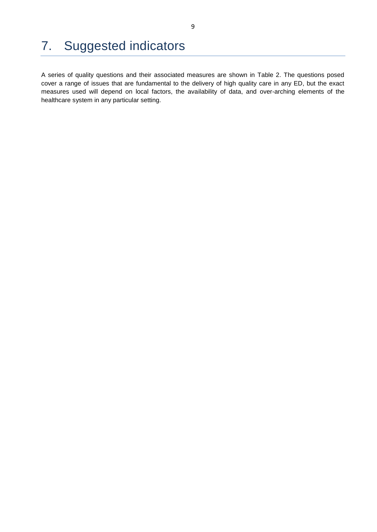## <span id="page-11-0"></span>7. Suggested indicators

A series of quality questions and their associated measures are shown in Table 2. The questions posed cover a range of issues that are fundamental to the delivery of high quality care in any ED, but the exact measures used will depend on local factors, the availability of data, and over-arching elements of the healthcare system in any particular setting.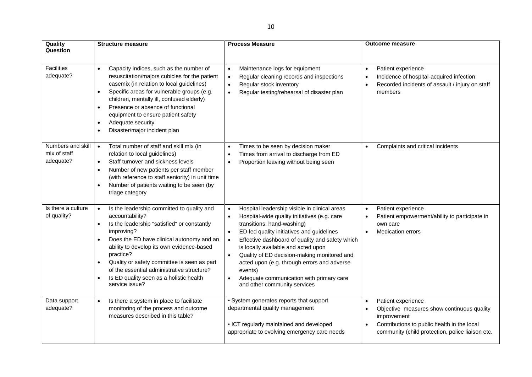| Quality                                        | <b>Structure measure</b>                                                                                                                                                                                                                                                                                                                                                                                                                                     | <b>Process Measure</b>                                                                                                                                                                                                                                                                                                                                                                                                                                                                                                                | <b>Outcome measure</b>                                                                                                                                                             |
|------------------------------------------------|--------------------------------------------------------------------------------------------------------------------------------------------------------------------------------------------------------------------------------------------------------------------------------------------------------------------------------------------------------------------------------------------------------------------------------------------------------------|---------------------------------------------------------------------------------------------------------------------------------------------------------------------------------------------------------------------------------------------------------------------------------------------------------------------------------------------------------------------------------------------------------------------------------------------------------------------------------------------------------------------------------------|------------------------------------------------------------------------------------------------------------------------------------------------------------------------------------|
| Question<br><b>Facilities</b><br>adequate?     | Capacity indices, such as the number of<br>$\bullet$<br>resuscitation/majors cubicles for the patient<br>casemix (in relation to local guidelines)<br>Specific areas for vulnerable groups (e.g.<br>$\bullet$<br>children, mentally ill, confused elderly)<br>Presence or absence of functional<br>$\bullet$<br>equipment to ensure patient safety<br>Adequate security<br>$\bullet$<br>Disaster/major incident plan<br>$\bullet$                            | Maintenance logs for equipment<br>$\bullet$<br>Regular cleaning records and inspections<br>$\bullet$<br>Regular stock inventory<br>$\bullet$<br>Regular testing/rehearsal of disaster plan<br>$\bullet$                                                                                                                                                                                                                                                                                                                               | Patient experience<br>$\bullet$<br>Incidence of hospital-acquired infection<br>Recorded incidents of assault / injury on staff<br>members                                          |
| Numbers and skill<br>mix of staff<br>adequate? | Total number of staff and skill mix (in<br>$\bullet$<br>relation to local guidelines)<br>Staff turnover and sickness levels<br>$\bullet$<br>Number of new patients per staff member<br>$\bullet$<br>(with reference to staff seniority) in unit time<br>Number of patients waiting to be seen (by<br>$\bullet$<br>triage category                                                                                                                            | Times to be seen by decision maker<br>$\bullet$<br>Times from arrival to discharge from ED<br>$\bullet$<br>Proportion leaving without being seen<br>$\bullet$                                                                                                                                                                                                                                                                                                                                                                         | Complaints and critical incidents<br>$\bullet$                                                                                                                                     |
| Is there a culture<br>of quality?              | Is the leadership committed to quality and<br>$\bullet$<br>accountability?<br>Is the leadership "satisfied" or constantly<br>$\bullet$<br>improving?<br>Does the ED have clinical autonomy and an<br>$\bullet$<br>ability to develop its own evidence-based<br>practice?<br>Quality or safety committee is seen as part<br>$\bullet$<br>of the essential administrative structure?<br>Is ED quality seen as a holistic health<br>$\bullet$<br>service issue? | Hospital leadership visible in clinical areas<br>$\bullet$<br>Hospital-wide quality initiatives (e.g. care<br>$\bullet$<br>transitions, hand-washing)<br>ED-led quality initiatives and guidelines<br>$\bullet$<br>Effective dashboard of quality and safety which<br>$\bullet$<br>is locally available and acted upon<br>Quality of ED decision-making monitored and<br>$\bullet$<br>acted upon (e.g. through errors and adverse<br>events)<br>Adequate communication with primary care<br>$\bullet$<br>and other community services | Patient experience<br>$\bullet$<br>Patient empowerment/ability to participate in<br>own care<br><b>Medication errors</b><br>$\bullet$                                              |
| Data support<br>adequate?                      | Is there a system in place to facilitate<br>$\bullet$<br>monitoring of the process and outcome<br>measures described in this table?                                                                                                                                                                                                                                                                                                                          | · System generates reports that support<br>departmental quality management<br>• ICT regularly maintained and developed<br>appropriate to evolving emergency care needs                                                                                                                                                                                                                                                                                                                                                                | Patient experience<br>Objective measures show continuous quality<br>improvement<br>Contributions to public health in the local<br>community (child protection, police liaison etc. |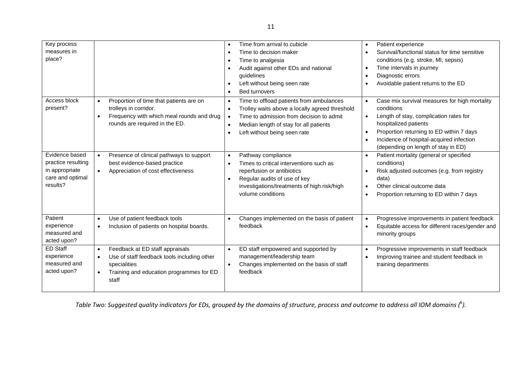| Key process<br>measures in<br>place?                                                   |                                                                                                                                                                                            |           | Time from arrival to cubicle<br>Time to decision maker<br>Time to analgesia<br>Audit against other EDs and national<br>quidelines<br>Left without being seen rate<br><b>Bed turnovers</b>                        | $\bullet$<br>$\bullet$              | Patient experience<br>Survival/functional status for time sensitive<br>conditions (e.g. stroke, MI, sepsis)<br>Time intervals in journey<br>Diagnostic errors<br>Avoidable patient returns to the ED                                                          |
|----------------------------------------------------------------------------------------|--------------------------------------------------------------------------------------------------------------------------------------------------------------------------------------------|-----------|------------------------------------------------------------------------------------------------------------------------------------------------------------------------------------------------------------------|-------------------------------------|---------------------------------------------------------------------------------------------------------------------------------------------------------------------------------------------------------------------------------------------------------------|
| Access block<br>present?                                                               | Proportion of time that patients are on<br>$\bullet$<br>trolleys in corridor.<br>Frequency with which meal rounds and drug<br>rounds are required in the ED.                               | $\bullet$ | Time to offload patients from ambulances<br>Trolley waits above a locally agreed threshold<br>Time to admission from decision to admit<br>Median length of stay for all patients<br>Left without being seen rate | $\bullet$<br>$\bullet$              | Case mix survival measures for high mortality<br>conditions<br>Length of stay, complication rates for<br>hospitalized patients<br>Proportion returning to ED within 7 days<br>Incidence of hospital-acquired infection<br>(depending on length of stay in ED) |
| Evidence based<br>practice resulting<br>in appropriate<br>care and optimal<br>results? | Presence of clinical pathways to support<br>$\bullet$<br>best evidence-based practice<br>Appreciation of cost effectiveness                                                                |           | Pathway compliance<br>Times to critical interventions such as<br>reperfusion or antibiotics<br>Regular audits of use of key<br>investigations/treatments of high risk/high<br>volume conditions                  | $\bullet$<br>$\bullet$<br>$\bullet$ | Patient mortality (general or specified<br>conditions)<br>Risk adjusted outcomes (e.g. from registry<br>data)<br>Other clinical outcome data<br>Proportion returning to ED within 7 days                                                                      |
| Patient<br>experience<br>measured and<br>acted upon?                                   | Use of patient feedback tools<br>$\bullet$<br>Inclusion of patients on hospital boards.<br>$\bullet$                                                                                       |           | Changes implemented on the basis of patient<br>feedback                                                                                                                                                          | $\bullet$<br>$\bullet$              | Progressive improvements in patient feedback<br>Equitable access for different races/gender and<br>minority groups                                                                                                                                            |
| <b>ED Staff</b><br>experience<br>measured and<br>acted upon?                           | Feedback at ED staff appraisals<br>$\bullet$<br>Use of staff feedback tools including other<br>$\bullet$<br>specialities<br>Training and education programmes for ED<br>$\bullet$<br>staff | $\bullet$ | ED staff empowered and supported by<br>management/leadership team<br>Changes implemented on the basis of staff<br>feedback                                                                                       | $\bullet$                           | Progressive improvements in staff feedback<br>Improving trainee and student feedback in<br>training departments                                                                                                                                               |

*Table Two: Suggested quality indicators for EDs, grouped by the domains of structure, process and outcome to address all IOM domains (* 6 *).*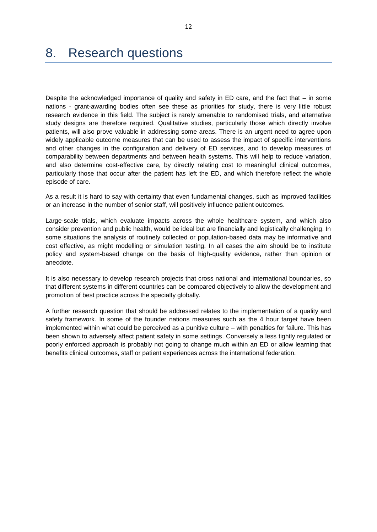#### <span id="page-14-0"></span>8. Research questions

Despite the acknowledged importance of quality and safety in ED care, and the fact that – in some nations - grant-awarding bodies often see these as priorities for study, there is very little robust research evidence in this field. The subject is rarely amenable to randomised trials, and alternative study designs are therefore required. Qualitative studies, particularly those which directly involve patients, will also prove valuable in addressing some areas. There is an urgent need to agree upon widely applicable outcome measures that can be used to assess the impact of specific interventions and other changes in the configuration and delivery of ED services, and to develop measures of comparability between departments and between health systems. This will help to reduce variation, and also determine cost-effective care, by directly relating cost to meaningful clinical outcomes, particularly those that occur after the patient has left the ED, and which therefore reflect the whole episode of care.

As a result it is hard to say with certainty that even fundamental changes, such as improved facilities or an increase in the number of senior staff, will positively influence patient outcomes.

Large-scale trials, which evaluate impacts across the whole healthcare system, and which also consider prevention and public health, would be ideal but are financially and logistically challenging. In some situations the analysis of routinely collected or population-based data may be informative and cost effective, as might modelling or simulation testing. In all cases the aim should be to institute policy and system-based change on the basis of high-quality evidence, rather than opinion or anecdote.

It is also necessary to develop research projects that cross national and international boundaries, so that different systems in different countries can be compared objectively to allow the development and promotion of best practice across the specialty globally.

A further research question that should be addressed relates to the implementation of a quality and safety framework. In some of the founder nations measures such as the 4 hour target have been implemented within what could be perceived as a punitive culture – with penalties for failure. This has been shown to adversely affect patient safety in some settings. Conversely a less tightly regulated or poorly enforced approach is probably not going to change much within an ED or allow learning that benefits clinical outcomes, staff or patient experiences across the international federation.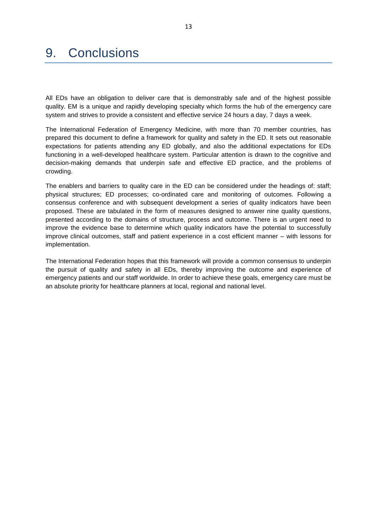### <span id="page-15-0"></span>9. Conclusions

All EDs have an obligation to deliver care that is demonstrably safe and of the highest possible quality. EM is a unique and rapidly developing specialty which forms the hub of the emergency care system and strives to provide a consistent and effective service 24 hours a day, 7 days a week.

The International Federation of Emergency Medicine, with more than 70 member countries, has prepared this document to define a framework for quality and safety in the ED. It sets out reasonable expectations for patients attending any ED globally, and also the additional expectations for EDs functioning in a well-developed healthcare system. Particular attention is drawn to the cognitive and decision-making demands that underpin safe and effective ED practice, and the problems of crowding.

The enablers and barriers to quality care in the ED can be considered under the headings of: staff; physical structures; ED processes; co-ordinated care and monitoring of outcomes. Following a consensus conference and with subsequent development a series of quality indicators have been proposed. These are tabulated in the form of measures designed to answer nine quality questions, presented according to the domains of structure, process and outcome. There is an urgent need to improve the evidence base to determine which quality indicators have the potential to successfully improve clinical outcomes, staff and patient experience in a cost efficient manner – with lessons for implementation.

The International Federation hopes that this framework will provide a common consensus to underpin the pursuit of quality and safety in all EDs, thereby improving the outcome and experience of emergency patients and our staff worldwide. In order to achieve these goals, emergency care must be an absolute priority for healthcare planners at local, regional and national level.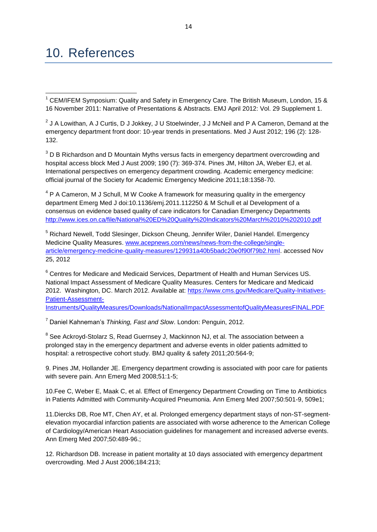#### <span id="page-16-0"></span>10. References

 $\overline{\phantom{a}}$  $1$  CEM/IFEM Symposium: Quality and Safety in Emergency Care. The British Museum, London, 15 & 16 November 2011: Narrative of Presentations & Abstracts. EMJ April 2012: Vol. 29 Supplement 1.

 $2$  J A Lowithan, A J Curtis, D J Jokkey, J U Stoelwinder, J J McNeil and P A Cameron, Demand at the emergency department front door: 10-year trends in presentations. Med J Aust 2012; 196 (2): 128- 132.

 $3$  D B Richardson and D Mountain Myths versus facts in emergency department overcrowding and hospital access block Med J Aust 2009; 190 (7): 369-374. Pines JM, Hilton JA, Weber EJ, et al. International perspectives on emergency department crowding. Academic emergency medicine: official journal of the Society for Academic Emergency Medicine 2011;18:1358-70.

 $4$  P A Cameron, M J Schull, M W Cooke A framework for measuring quality in the emergency department Emerg Med J doi:10.1136/emj.2011.112250 & M Schull et al Development of a consensus on evidence based quality of care indicators for Canadian Emergency Departments <http://www.ices.on.ca/file/National%20ED%20Quality%20Indicators%20March%2010%202010.pdf>

<sup>5</sup> Richard Newell, Todd Slesinger, Dickson Cheung, Jennifer Wiler, Daniel Handel. Emergency Medicine Quality Measures. [www.acepnews.com/news/news-from-the-college/single](../../../Local%20Settings/Local%20Settings/Temporary%20Internet%20Files/Content.Outlook/Local%20Settings/Temporary%20Internet%20Files/Content.Outlook/FN70WXU4/www.acepnews.com/news/news-from-the-college/single-article/emergency-medicine-quality-measures/129931a40b5badc20e0f90f79b2.html)[article/emergency-medicine-quality-measures/129931a40b5badc20e0f90f79b2.html.](../../../Local%20Settings/Local%20Settings/Temporary%20Internet%20Files/Content.Outlook/Local%20Settings/Temporary%20Internet%20Files/Content.Outlook/FN70WXU4/www.acepnews.com/news/news-from-the-college/single-article/emergency-medicine-quality-measures/129931a40b5badc20e0f90f79b2.html) accessed Nov 25, 2012

<sup>6</sup> Centres for Medicare and Medicaid Services, Department of Health and Human Services US. National Impact Assessment of Medicare Quality Measures. Centers for Medicare and Medicaid 2012. Washington, DC. March 2012. Available at: [https://www.cms.gov/Medicare/Quality-Initiatives-](https://www.cms.gov/Medicare/Quality-Initiatives-Patient-Assessment-Instruments/QualityMeasures/Downloads/NationalImpactAssessmentofQualityMeasuresFINAL.PDF)[Patient-Assessment-](https://www.cms.gov/Medicare/Quality-Initiatives-Patient-Assessment-Instruments/QualityMeasures/Downloads/NationalImpactAssessmentofQualityMeasuresFINAL.PDF)

[Instruments/QualityMeasures/Downloads/NationalImpactAssessmentofQualityMeasuresFINAL.PDF](https://www.cms.gov/Medicare/Quality-Initiatives-Patient-Assessment-Instruments/QualityMeasures/Downloads/NationalImpactAssessmentofQualityMeasuresFINAL.PDF)

<sup>7</sup> Daniel Kahneman's *Thinking, Fast and Slow*. London: Penguin, 2012.

<sup>8</sup> See Ackroyd-Stolarz S, Read Guernsey J, Mackinnon NJ, et al. The association between a prolonged stay in the emergency department and adverse events in older patients admitted to hospital: a retrospective cohort study. BMJ quality & safety 2011;20:564-9;

9. Pines JM, Hollander JE. Emergency department crowding is associated with poor care for patients with severe pain. Ann Emerg Med 2008;51:1-5;

10.Fee C, Weber E, Maak C, et al. Effect of Emergency Department Crowding on Time to Antibiotics in Patients Admitted with Community-Acquired Pneumonia. Ann Emerg Med 2007;50:501-9, 509e1;

11.Diercks DB, Roe MT, Chen AY, et al. Prolonged emergency department stays of non-ST-segmentelevation myocardial infarction patients are associated with worse adherence to the American College of Cardiology/American Heart Association guidelines for management and increased adverse events. Ann Emerg Med 2007;50:489-96.;

12. Richardson DB. Increase in patient mortality at 10 days associated with emergency department overcrowding. Med J Aust 2006;184:213;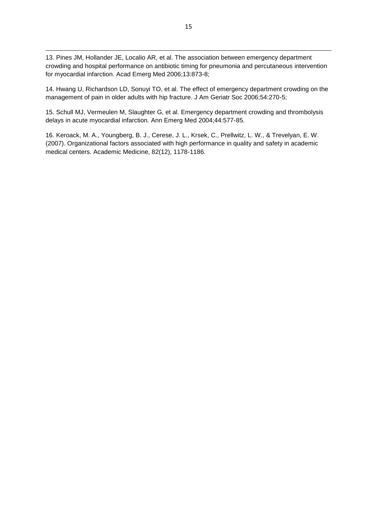1 13. Pines JM, Hollander JE, Localio AR, et al. The association between emergency department crowding and hospital performance on antibiotic timing for pneumonia and percutaneous intervention for myocardial infarction. Acad Emerg Med 2006;13:873-8;

14. Hwang U, Richardson LD, Sonuyi TO, et al. The effect of emergency department crowding on the management of pain in older adults with hip fracture. J Am Geriatr Soc 2006;54:270-5;

15. Schull MJ, Vermeulen M, Slaughter G, et al. Emergency department crowding and thrombolysis delays in acute myocardial infarction. Ann Emerg Med 2004;44:577-85.

16. Keroack, M. A., Youngberg, B. J., Cerese, J. L., Krsek, C., Prellwitz, L. W., & Trevelyan, E. W. (2007). Organizational factors associated with high performance in quality and safety in academic medical centers. Academic Medicine, 82(12), 1178-1186.